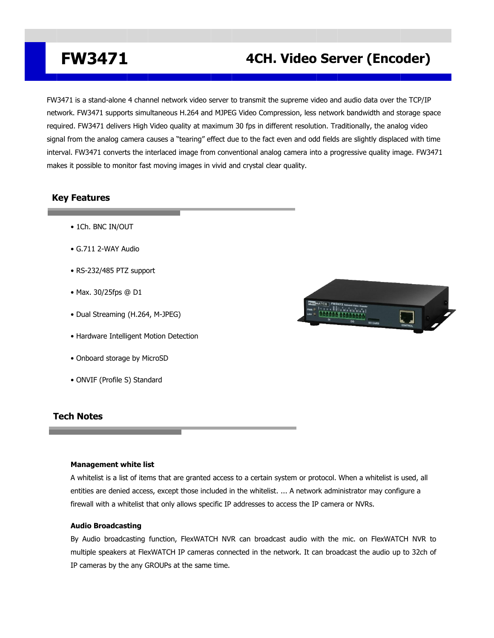## **FW3471 4CH. Video Server (Encoder)**

FW3471 is a stand-alone 4 channel network video server to transmit the supreme video and audio data over the TCP/IP network. FW3471 supports simultaneous H.264 and MJPEG Video Compression, less network bandwidth and storage space required. FW3471 delivers High Video quality at maximum 30 fps in different resolution. Traditionally, the analog video signal from the analog camera causes a "tearing" effect due to the fact even and odd fields are slightly displaced with time interval. FW3471 converts the interlaced image from conventional analog camera into a progressive quality image. FW3471 makes it possible to monitor fast moving images in vivid and crystal clear quality.

### **Key Features**

- 1Ch. BNC IN/OUT
- G.711 2-WAY Audio
- RS-232/485 PTZ support
- Max. 30/25fps @ D1
- Dual Streaming (H.264, M-JPEG)
- Hardware Intelligent Motion Detection
- Onboard storage by MicroSD
- ONVIF (Profile S) Standard

### **Tech Notes**

#### **Management white list**

A whitelist is a list of items that are granted access to a certain system or protocol. When a whitelist is used, all entities are denied access, except those included in the whitelist.... A network administrator may configure a firewall with a whitelist that only allows specific IP addresses to access the IP camera or NVRs.

#### **Audio Broadcasting**

By Audio broadcasting function, FlexWATCH NVR can broadcast audio with the mic. on FlexWATCH NVR to multiple speakers at FlexWATCH IP cameras connected in the network. It can broadcast the audio up to 32ch of IP cameras by the any GROUPs at the same time.